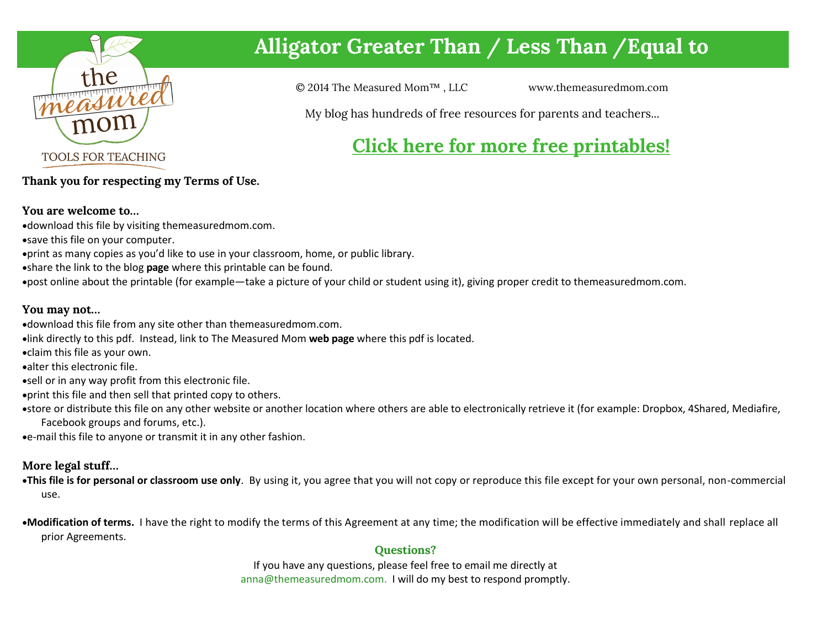

# **Alligator Greater Than / Less Than /Equal to**

© 2014 The Measured Mom™ , LLC www.themeasuredmom.com

My blog has hundreds of free resources for parents and teachers...

## **[Click here for more free printables!](http://www.themeasuredmom.com/print-2/)**

## **Thank you for respecting my Terms of Use.**

#### **You are welcome to…**

- download this file by visiting themeasuredmom.com.
- save this file on your computer.
- print as many copies as you'd like to use in your classroom, home, or public library.
- share the link to the blog **page** where this printable can be found.
- post online about the printable (for example—take a picture of your child or student using it), giving proper credit to themeasuredmom.com.

#### **You may not…**

- download this file from any site other than themeasuredmom.com.
- link directly to this pdf. Instead, link to The Measured Mom **web page** where this pdf is located.
- claim this file as your own.
- alter this electronic file.
- sell or in any way profit from this electronic file.
- print this file and then sell that printed copy to others.
- store or distribute this file on any other website or another location where others are able to electronically retrieve it (for example: Dropbox, 4Shared, Mediafire, Facebook groups and forums, etc.).
- e-mail this file to anyone or transmit it in any other fashion.

### **More legal stuff…**

- **This file is for personal or classroom use only**. By using it, you agree that you will not copy or reproduce this file except for your own personal, non-commercial use.
- **Modification of terms.** I have the right to modify the terms of this Agreement at any time; the modification will be effective immediately and shall replace all prior Agreements.

## **Questions?**

If you have any questions, please feel free to email me directly at anna@themeasuredmom.com. I will do my best to respond promptly.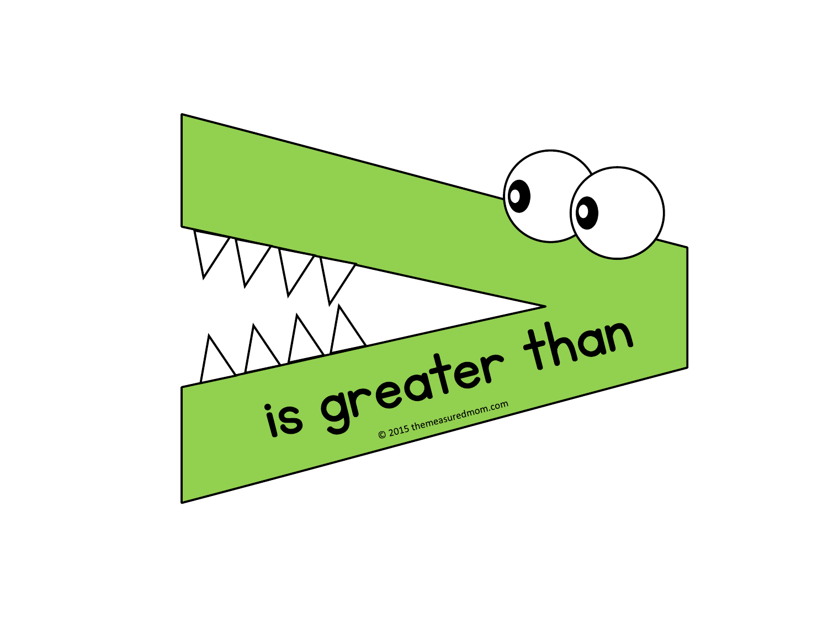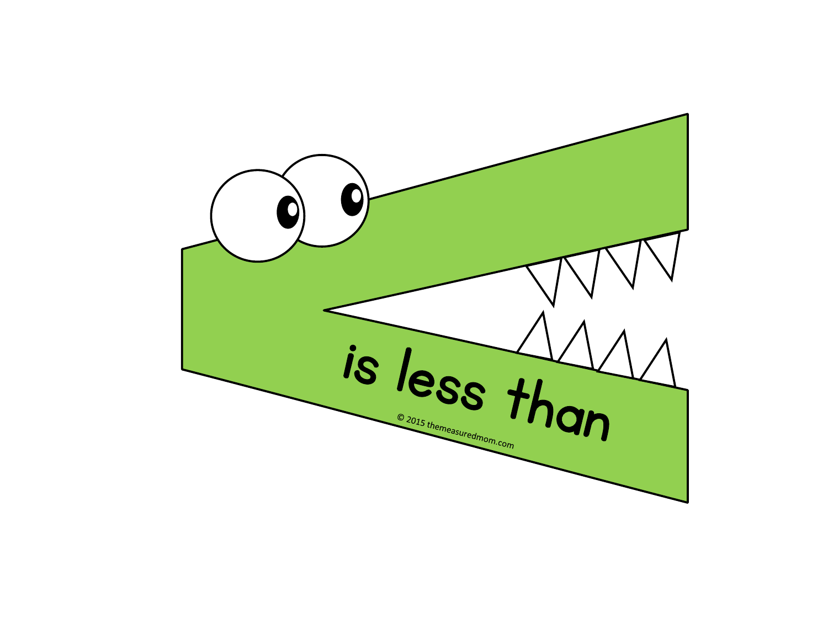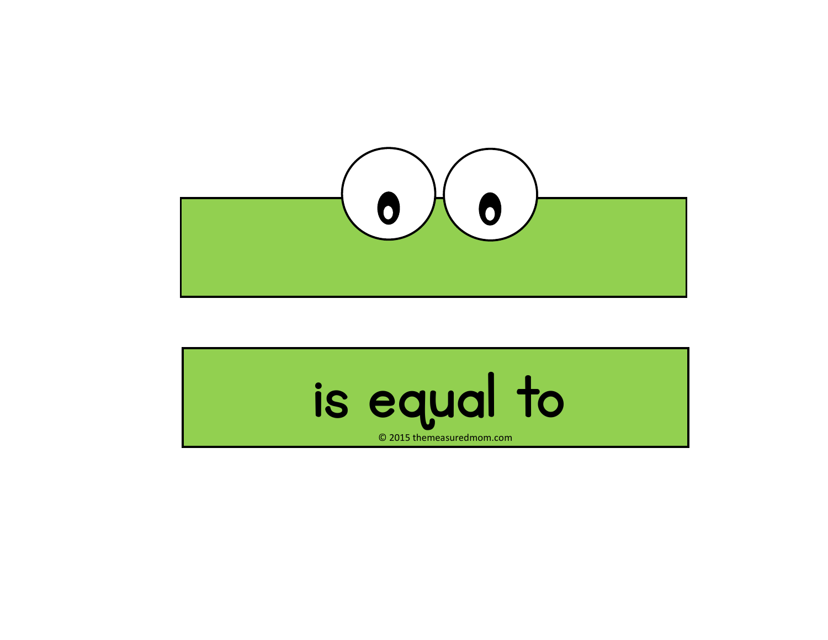

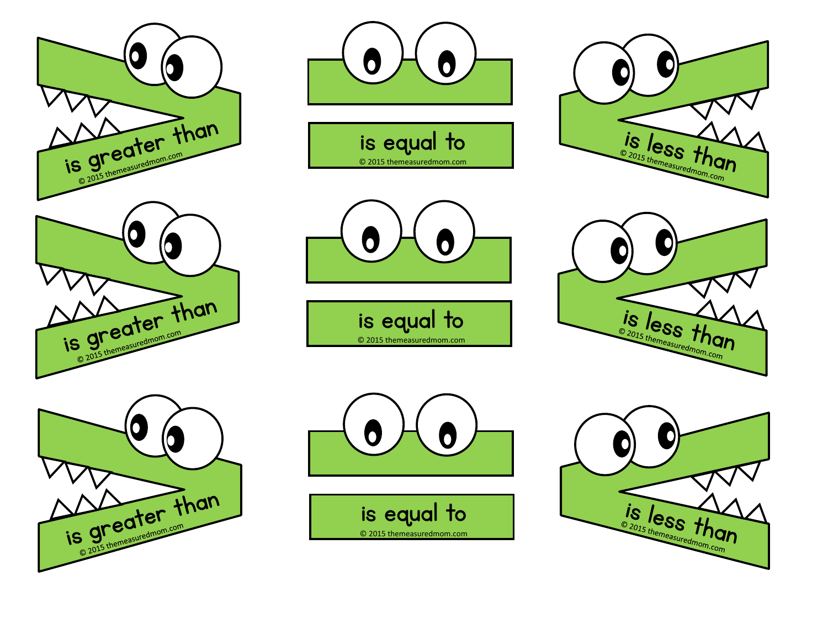



 is equal to © 2015 themeasuredmom.com









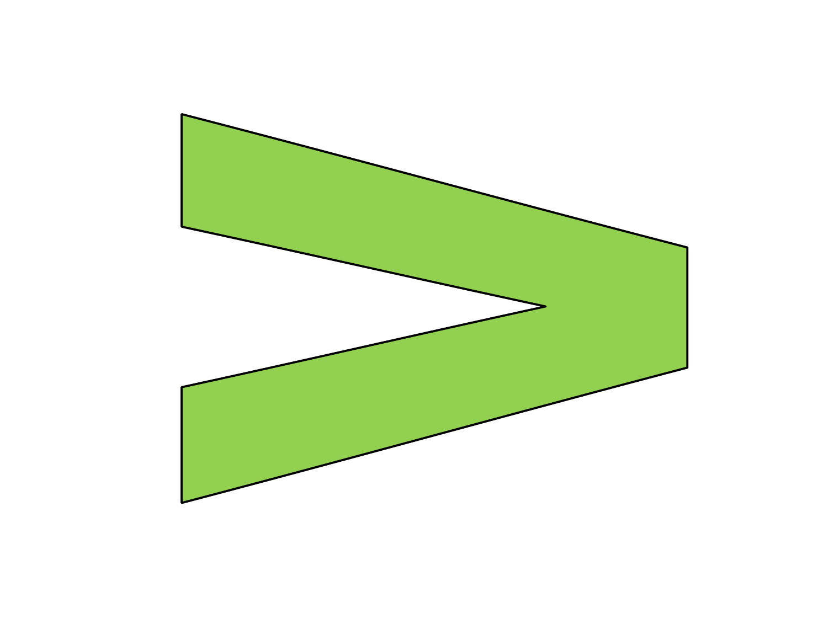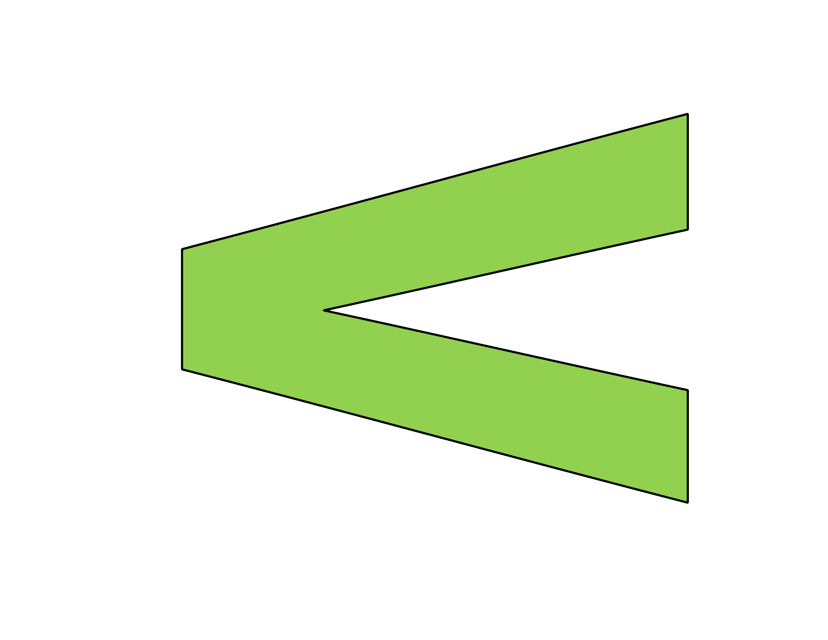